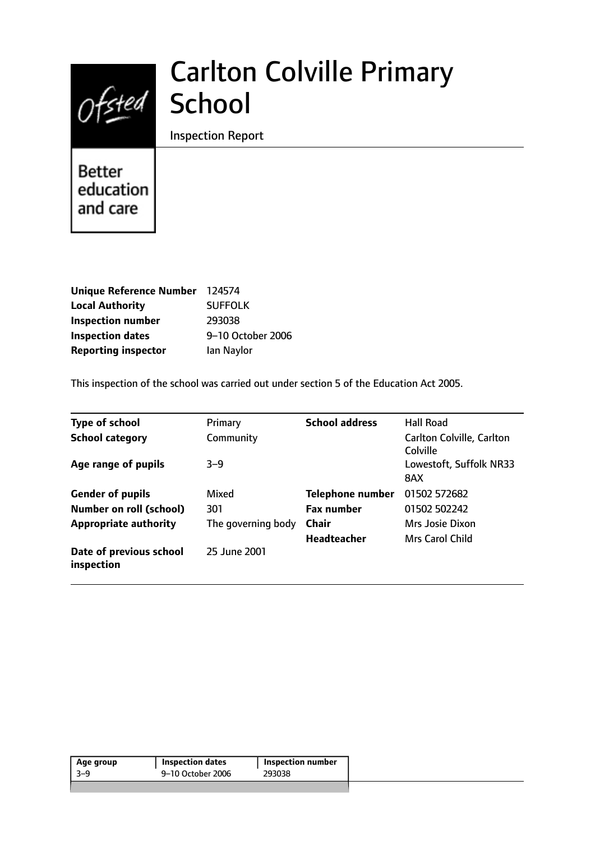# Ofsted School

# Carlton Colville Primary

Inspection Report

**Better** education and care

| Unique Reference Number 124574 |                   |
|--------------------------------|-------------------|
| <b>Local Authority</b>         | <b>SUFFOLK</b>    |
| <b>Inspection number</b>       | 293038            |
| <b>Inspection dates</b>        | 9-10 October 2006 |
| <b>Reporting inspector</b>     | lan Naylor        |

This inspection of the school was carried out under section 5 of the Education Act 2005.

| <b>Type of school</b>                 | Primary            | <b>School address</b>   | <b>Hall Road</b>                      |
|---------------------------------------|--------------------|-------------------------|---------------------------------------|
| <b>School category</b>                | Community          |                         | Carlton Colville, Carlton<br>Colville |
| Age range of pupils                   | $3 - 9$            |                         | Lowestoft, Suffolk NR33<br>8AX        |
| <b>Gender of pupils</b>               | Mixed              | <b>Telephone number</b> | 01502 572682                          |
| <b>Number on roll (school)</b>        | 301                | <b>Fax number</b>       | 01502 502242                          |
| <b>Appropriate authority</b>          | The governing body | <b>Chair</b>            | Mrs Josie Dixon                       |
|                                       |                    | <b>Headteacher</b>      | Mrs Carol Child                       |
| Date of previous school<br>inspection | 25 June 2001       |                         |                                       |

| 9–10 October 2006<br>-3–9<br>293038 | Age group | <b>Inspection dates</b> | Inspection number |  |
|-------------------------------------|-----------|-------------------------|-------------------|--|
|                                     |           |                         |                   |  |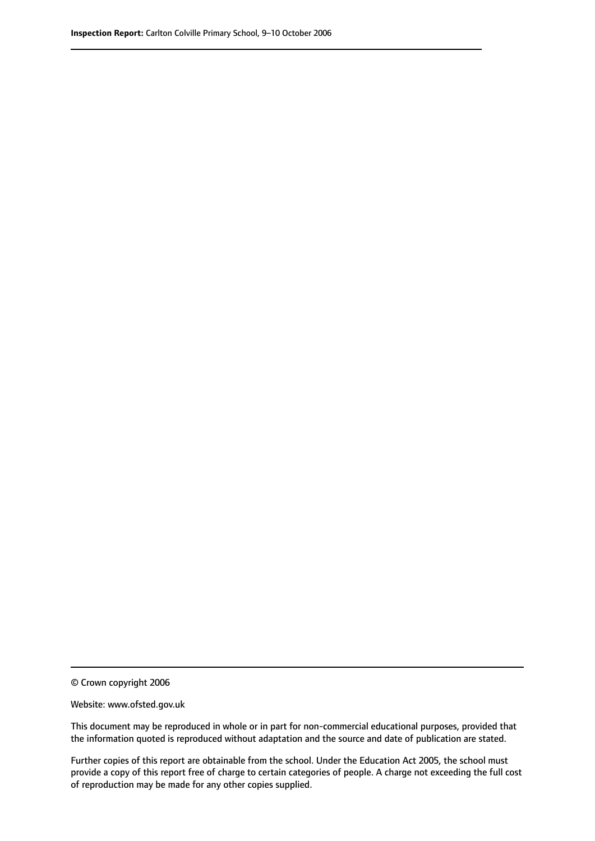© Crown copyright 2006

Website: www.ofsted.gov.uk

This document may be reproduced in whole or in part for non-commercial educational purposes, provided that the information quoted is reproduced without adaptation and the source and date of publication are stated.

Further copies of this report are obtainable from the school. Under the Education Act 2005, the school must provide a copy of this report free of charge to certain categories of people. A charge not exceeding the full cost of reproduction may be made for any other copies supplied.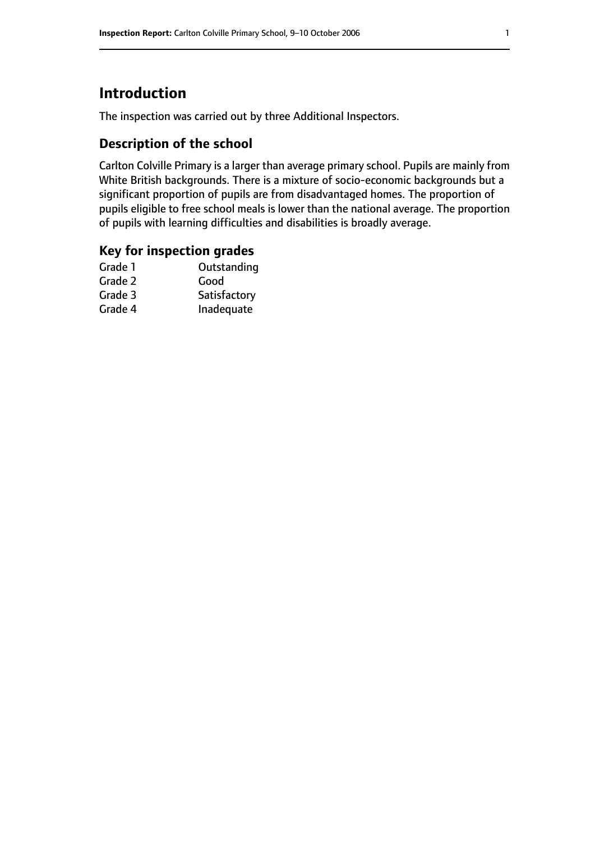# **Introduction**

The inspection was carried out by three Additional Inspectors.

## **Description of the school**

Carlton Colville Primary is a larger than average primary school. Pupils are mainly from White British backgrounds. There is a mixture of socio-economic backgrounds but a significant proportion of pupils are from disadvantaged homes. The proportion of pupils eligible to free school meals is lower than the national average. The proportion of pupils with learning difficulties and disabilities is broadly average.

### **Key for inspection grades**

| Good         |
|--------------|
|              |
| Satisfactory |
| Inadequate   |
|              |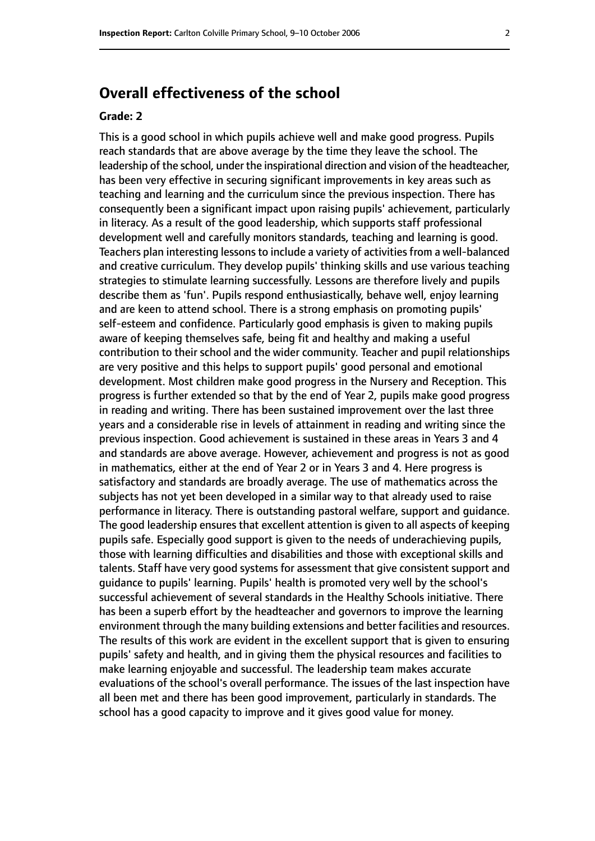# **Overall effectiveness of the school**

#### **Grade: 2**

This is a good school in which pupils achieve well and make good progress. Pupils reach standards that are above average by the time they leave the school. The leadership of the school, under the inspirational direction and vision of the headteacher, has been very effective in securing significant improvements in key areas such as teaching and learning and the curriculum since the previous inspection. There has consequently been a significant impact upon raising pupils' achievement, particularly in literacy. As a result of the good leadership, which supports staff professional development well and carefully monitors standards, teaching and learning is good. Teachers plan interesting lessons to include a variety of activities from a well-balanced and creative curriculum. They develop pupils' thinking skills and use various teaching strategies to stimulate learning successfully. Lessons are therefore lively and pupils describe them as 'fun'. Pupils respond enthusiastically, behave well, enjoy learning and are keen to attend school. There is a strong emphasis on promoting pupils' self-esteem and confidence. Particularly good emphasis is given to making pupils aware of keeping themselves safe, being fit and healthy and making a useful contribution to their school and the wider community. Teacher and pupil relationships are very positive and this helps to support pupils' good personal and emotional development. Most children make good progress in the Nursery and Reception. This progress is further extended so that by the end of Year 2, pupils make good progress in reading and writing. There has been sustained improvement over the last three years and a considerable rise in levels of attainment in reading and writing since the previous inspection. Good achievement is sustained in these areas in Years 3 and 4 and standards are above average. However, achievement and progress is not as good in mathematics, either at the end of Year 2 or in Years 3 and 4. Here progress is satisfactory and standards are broadly average. The use of mathematics across the subjects has not yet been developed in a similar way to that already used to raise performance in literacy. There is outstanding pastoral welfare, support and guidance. The good leadership ensures that excellent attention is given to all aspects of keeping pupils safe. Especially good support is given to the needs of underachieving pupils, those with learning difficulties and disabilities and those with exceptional skills and talents. Staff have very good systems for assessment that give consistent support and guidance to pupils' learning. Pupils' health is promoted very well by the school's successful achievement of several standards in the Healthy Schools initiative. There has been a superb effort by the headteacher and governors to improve the learning environment through the many building extensions and better facilities and resources. The results of this work are evident in the excellent support that is given to ensuring pupils' safety and health, and in giving them the physical resources and facilities to make learning enjoyable and successful. The leadership team makes accurate evaluations of the school's overall performance. The issues of the last inspection have all been met and there has been good improvement, particularly in standards. The school has a good capacity to improve and it gives good value for money.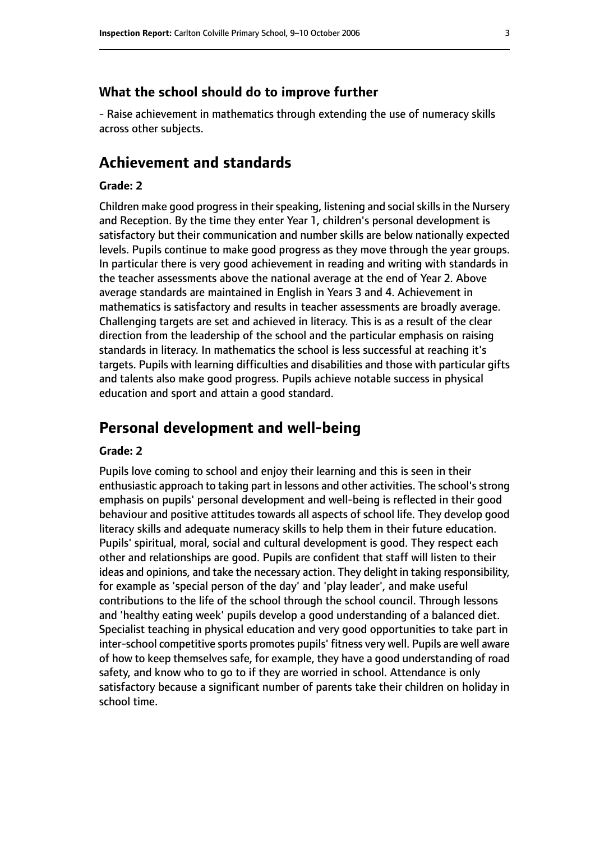#### **What the school should do to improve further**

- Raise achievement in mathematics through extending the use of numeracy skills across other subjects.

### **Achievement and standards**

#### **Grade: 2**

Children make good progress in their speaking, listening and social skills in the Nursery and Reception. By the time they enter Year 1, children's personal development is satisfactory but their communication and number skills are below nationally expected levels. Pupils continue to make good progress as they move through the year groups. In particular there is very good achievement in reading and writing with standards in the teacher assessments above the national average at the end of Year 2. Above average standards are maintained in English in Years 3 and 4. Achievement in mathematics is satisfactory and results in teacher assessments are broadly average. Challenging targets are set and achieved in literacy. This is as a result of the clear direction from the leadership of the school and the particular emphasis on raising standards in literacy. In mathematics the school is less successful at reaching it's targets. Pupils with learning difficulties and disabilities and those with particular gifts and talents also make good progress. Pupils achieve notable success in physical education and sport and attain a good standard.

### **Personal development and well-being**

#### **Grade: 2**

Pupils love coming to school and enjoy their learning and this is seen in their enthusiastic approach to taking part in lessons and other activities. The school's strong emphasis on pupils' personal development and well-being is reflected in their good behaviour and positive attitudes towards all aspects of school life. They develop good literacy skills and adequate numeracy skills to help them in their future education. Pupils' spiritual, moral, social and cultural development is good. They respect each other and relationships are good. Pupils are confident that staff will listen to their ideas and opinions, and take the necessary action. They delight in taking responsibility, for example as 'special person of the day' and 'play leader', and make useful contributions to the life of the school through the school council. Through lessons and 'healthy eating week' pupils develop a good understanding of a balanced diet. Specialist teaching in physical education and very good opportunities to take part in inter-school competitive sports promotes pupils' fitness very well. Pupils are well aware of how to keep themselves safe, for example, they have a good understanding of road safety, and know who to go to if they are worried in school. Attendance is only satisfactory because a significant number of parents take their children on holiday in school time.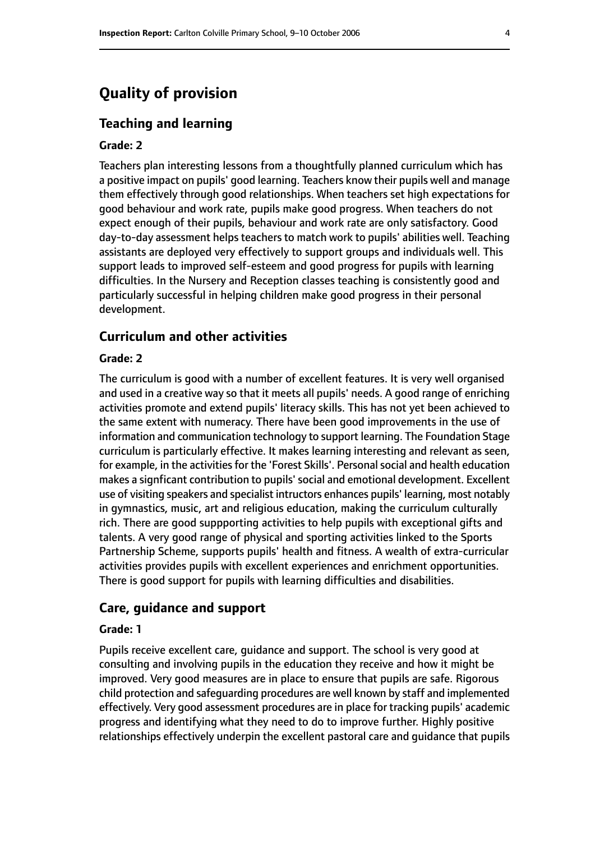# **Quality of provision**

#### **Teaching and learning**

#### **Grade: 2**

Teachers plan interesting lessons from a thoughtfully planned curriculum which has a positive impact on pupils' good learning. Teachers know their pupils well and manage them effectively through good relationships. When teachers set high expectations for good behaviour and work rate, pupils make good progress. When teachers do not expect enough of their pupils, behaviour and work rate are only satisfactory. Good day-to-day assessment helps teachers to match work to pupils' abilities well. Teaching assistants are deployed very effectively to support groups and individuals well. This support leads to improved self-esteem and good progress for pupils with learning difficulties. In the Nursery and Reception classes teaching is consistently good and particularly successful in helping children make good progress in their personal development.

#### **Curriculum and other activities**

#### **Grade: 2**

The curriculum is good with a number of excellent features. It is very well organised and used in a creative way so that it meets all pupils' needs. A good range of enriching activities promote and extend pupils' literacy skills. This has not yet been achieved to the same extent with numeracy. There have been good improvements in the use of information and communication technology to support learning. The Foundation Stage curriculum is particularly effective. It makes learning interesting and relevant as seen, for example, in the activities for the 'Forest Skills'. Personal social and health education makes a signficant contribution to pupils' social and emotional development. Excellent use of visiting speakers and specialist intructors enhances pupils' learning, most notably in gymnastics, music, art and religious education, making the curriculum culturally rich. There are good suppporting activities to help pupils with exceptional gifts and talents. A very good range of physical and sporting activities linked to the Sports Partnership Scheme, supports pupils' health and fitness. A wealth of extra-curricular activities provides pupils with excellent experiences and enrichment opportunities. There is good support for pupils with learning difficulties and disabilities.

#### **Care, guidance and support**

#### **Grade: 1**

Pupils receive excellent care, guidance and support. The school is very good at consulting and involving pupils in the education they receive and how it might be improved. Very good measures are in place to ensure that pupils are safe. Rigorous child protection and safeguarding procedures are well known by staff and implemented effectively. Very good assessment procedures are in place for tracking pupils' academic progress and identifying what they need to do to improve further. Highly positive relationships effectively underpin the excellent pastoral care and guidance that pupils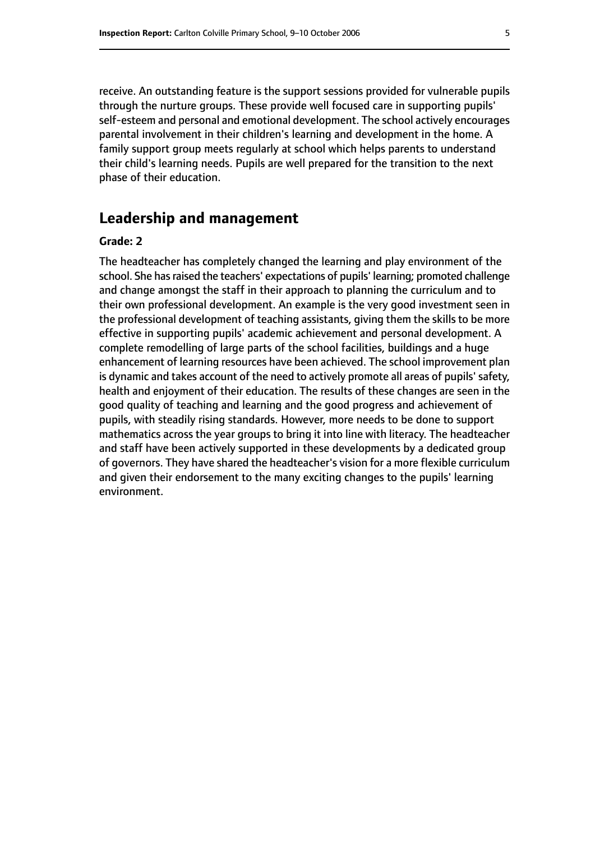receive. An outstanding feature is the support sessions provided for vulnerable pupils through the nurture groups. These provide well focused care in supporting pupils' self-esteem and personal and emotional development. The school actively encourages parental involvement in their children's learning and development in the home. A family support group meets regularly at school which helps parents to understand their child's learning needs. Pupils are well prepared for the transition to the next phase of their education.

## **Leadership and management**

#### **Grade: 2**

The headteacher has completely changed the learning and play environment of the school. She has raised the teachers' expectations of pupils' learning; promoted challenge and change amongst the staff in their approach to planning the curriculum and to their own professional development. An example is the very good investment seen in the professional development of teaching assistants, giving them the skills to be more effective in supporting pupils' academic achievement and personal development. A complete remodelling of large parts of the school facilities, buildings and a huge enhancement of learning resources have been achieved. The school improvement plan is dynamic and takes account of the need to actively promote all areas of pupils' safety, health and enjoyment of their education. The results of these changes are seen in the good quality of teaching and learning and the good progress and achievement of pupils, with steadily rising standards. However, more needs to be done to support mathematics across the year groups to bring it into line with literacy. The headteacher and staff have been actively supported in these developments by a dedicated group of governors. They have shared the headteacher's vision for a more flexible curriculum and given their endorsement to the many exciting changes to the pupils' learning environment.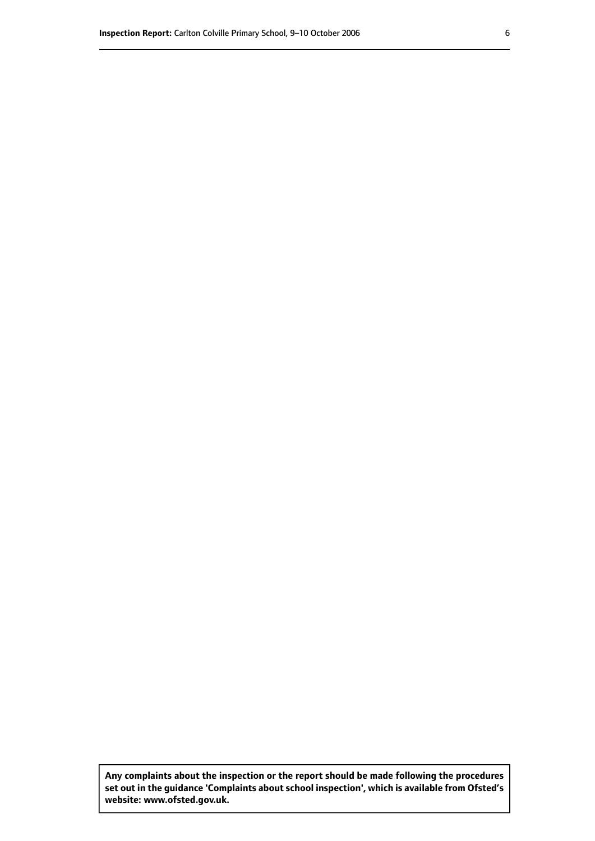**Any complaints about the inspection or the report should be made following the procedures set out inthe guidance 'Complaints about school inspection', whichis available from Ofsted's website: www.ofsted.gov.uk.**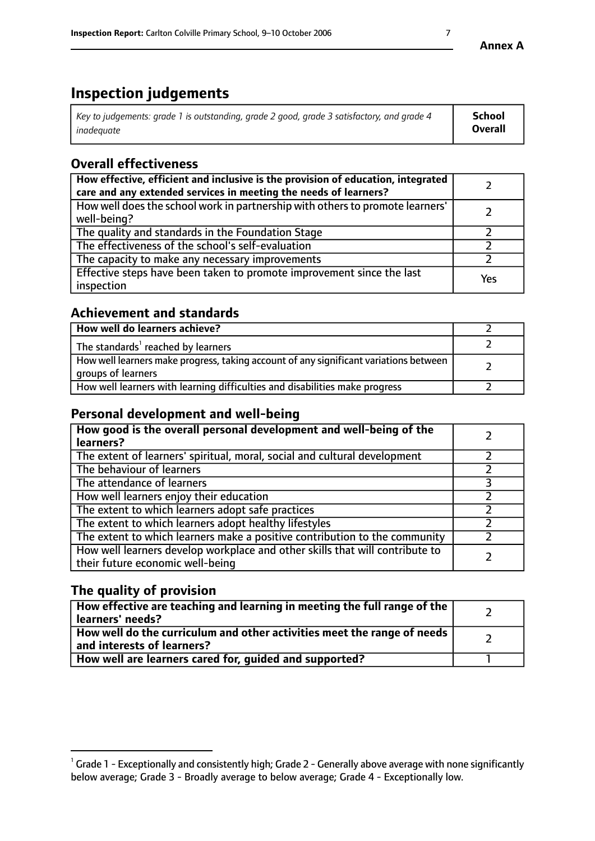# **Inspection judgements**

| Key to judgements: grade 1 is outstanding, grade 2 good, grade 3 satisfactory, and grade 4 | School         |
|--------------------------------------------------------------------------------------------|----------------|
| inadeauate                                                                                 | <b>Overall</b> |

# **Overall effectiveness**

| How effective, efficient and inclusive is the provision of education, integrated<br>care and any extended services in meeting the needs of learners? |     |
|------------------------------------------------------------------------------------------------------------------------------------------------------|-----|
| How well does the school work in partnership with others to promote learners'<br>well-being?                                                         |     |
| The quality and standards in the Foundation Stage                                                                                                    |     |
| The effectiveness of the school's self-evaluation                                                                                                    |     |
| The capacity to make any necessary improvements                                                                                                      |     |
| Effective steps have been taken to promote improvement since the last<br>inspection                                                                  | Yes |

## **Achievement and standards**

| How well do learners achieve?                                                                               |  |
|-------------------------------------------------------------------------------------------------------------|--|
| The standards <sup>1</sup> reached by learners                                                              |  |
| How well learners make progress, taking account of any significant variations between<br>groups of learners |  |
| How well learners with learning difficulties and disabilities make progress                                 |  |

## **Personal development and well-being**

| How good is the overall personal development and well-being of the<br>learners?                                  |  |
|------------------------------------------------------------------------------------------------------------------|--|
| The extent of learners' spiritual, moral, social and cultural development                                        |  |
| The behaviour of learners                                                                                        |  |
| The attendance of learners                                                                                       |  |
| How well learners enjoy their education                                                                          |  |
| The extent to which learners adopt safe practices                                                                |  |
| The extent to which learners adopt healthy lifestyles                                                            |  |
| The extent to which learners make a positive contribution to the community                                       |  |
| How well learners develop workplace and other skills that will contribute to<br>their future economic well-being |  |

# **The quality of provision**

| How effective are teaching and learning in meeting the full range of the<br>  learners' needs?                      |  |
|---------------------------------------------------------------------------------------------------------------------|--|
| $\mid$ How well do the curriculum and other activities meet the range of needs<br>$\mid$ and interests of learners? |  |
| How well are learners cared for, guided and supported?                                                              |  |

 $^1$  Grade 1 - Exceptionally and consistently high; Grade 2 - Generally above average with none significantly below average; Grade 3 - Broadly average to below average; Grade 4 - Exceptionally low.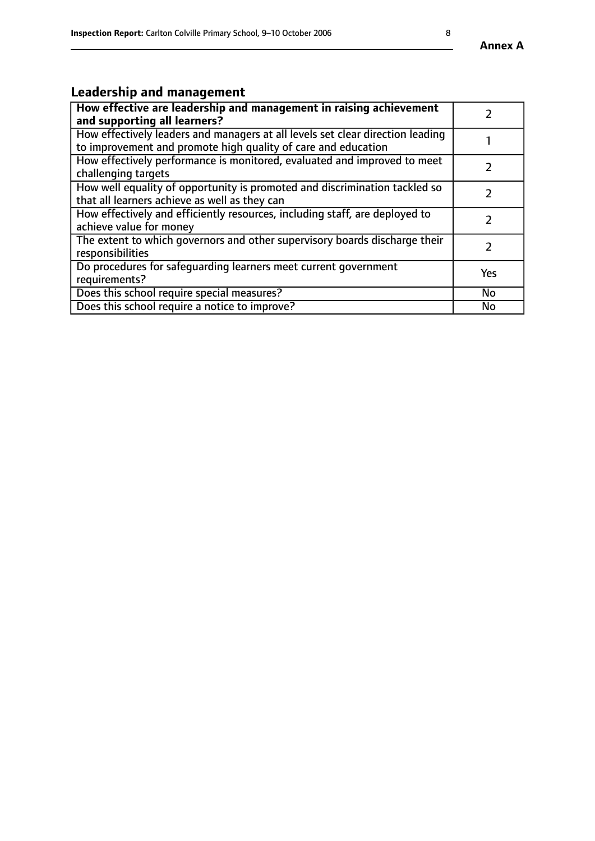# **Leadership and management**

| How effective are leadership and management in raising achievement<br>and supporting all learners?                                              |               |
|-------------------------------------------------------------------------------------------------------------------------------------------------|---------------|
| How effectively leaders and managers at all levels set clear direction leading<br>to improvement and promote high quality of care and education |               |
| How effectively performance is monitored, evaluated and improved to meet<br>challenging targets                                                 |               |
| How well equality of opportunity is promoted and discrimination tackled so<br>that all learners achieve as well as they can                     |               |
| How effectively and efficiently resources, including staff, are deployed to<br>achieve value for money                                          | $\mathcal{P}$ |
| The extent to which governors and other supervisory boards discharge their<br>responsibilities                                                  |               |
| Do procedures for safequarding learners meet current government<br>requirements?                                                                | Yes           |
| Does this school require special measures?                                                                                                      | No            |
| Does this school require a notice to improve?                                                                                                   | <b>No</b>     |